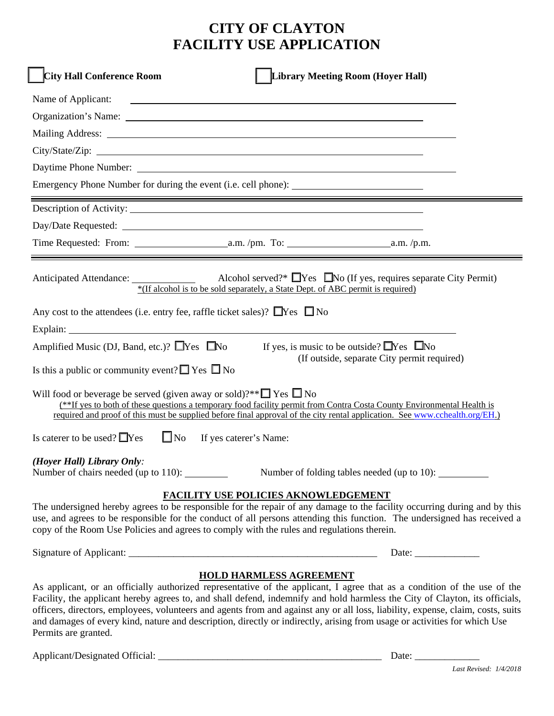## **CITY OF CLAYTON FACILITY USE APPLICATION**

| <b>City Hall Conference Room</b><br><b>Library Meeting Room (Hoyer Hall)</b>                                                                                                                                                                                                                                                                                                                                                                                                                                                                                                      |
|-----------------------------------------------------------------------------------------------------------------------------------------------------------------------------------------------------------------------------------------------------------------------------------------------------------------------------------------------------------------------------------------------------------------------------------------------------------------------------------------------------------------------------------------------------------------------------------|
| Name of Applicant:<br><u>state and the state of the state of the state of the state of the state of the state of the state of the state of the state of the state of the state of the state of the state of the state of the state of the state of the</u>                                                                                                                                                                                                                                                                                                                        |
|                                                                                                                                                                                                                                                                                                                                                                                                                                                                                                                                                                                   |
|                                                                                                                                                                                                                                                                                                                                                                                                                                                                                                                                                                                   |
|                                                                                                                                                                                                                                                                                                                                                                                                                                                                                                                                                                                   |
|                                                                                                                                                                                                                                                                                                                                                                                                                                                                                                                                                                                   |
| Emergency Phone Number for during the event (i.e. cell phone):                                                                                                                                                                                                                                                                                                                                                                                                                                                                                                                    |
|                                                                                                                                                                                                                                                                                                                                                                                                                                                                                                                                                                                   |
|                                                                                                                                                                                                                                                                                                                                                                                                                                                                                                                                                                                   |
|                                                                                                                                                                                                                                                                                                                                                                                                                                                                                                                                                                                   |
|                                                                                                                                                                                                                                                                                                                                                                                                                                                                                                                                                                                   |
| *(If alcohol is to be sold separately, a State Dept. of ABC permit is required)                                                                                                                                                                                                                                                                                                                                                                                                                                                                                                   |
| Any cost to the attendees (i.e. entry fee, raffle ticket sales)? $\Box$ Yes $\Box$ No                                                                                                                                                                                                                                                                                                                                                                                                                                                                                             |
|                                                                                                                                                                                                                                                                                                                                                                                                                                                                                                                                                                                   |
| Amplified Music (DJ, Band, etc.)? $\Box$ Yes $\Box$ No<br>If yes, is music to be outside? $\Box$ Yes $\Box$ No                                                                                                                                                                                                                                                                                                                                                                                                                                                                    |
| (If outside, separate City permit required)<br>Is this a public or community event? $\Box$ Yes $\Box$ No                                                                                                                                                                                                                                                                                                                                                                                                                                                                          |
| Will food or beverage be served (given away or sold)?** $\square$ Yes $\square$ No<br>(**If yes to both of these questions a temporary food facility permit from Contra Costa County Environmental Health is<br>required and proof of this must be supplied before final approval of the city rental application. See www.cchealth.org/EH.)                                                                                                                                                                                                                                       |
| Is caterer to be used? $\Box$ Yes<br>$\Box$ No<br>If yes caterer's Name:                                                                                                                                                                                                                                                                                                                                                                                                                                                                                                          |
| (Hoyer Hall) Library Only:<br>Number of chairs needed (up to 110):<br>Number of folding tables needed (up to 10): __________                                                                                                                                                                                                                                                                                                                                                                                                                                                      |
| FACILITY USE POLICIES AKNOWLEDGEMENT                                                                                                                                                                                                                                                                                                                                                                                                                                                                                                                                              |
| The undersigned hereby agrees to be responsible for the repair of any damage to the facility occurring during and by this<br>use, and agrees to be responsible for the conduct of all persons attending this function. The undersigned has received a<br>copy of the Room Use Policies and agrees to comply with the rules and regulations therein.                                                                                                                                                                                                                               |
|                                                                                                                                                                                                                                                                                                                                                                                                                                                                                                                                                                                   |
| <b>HOLD HARMLESS AGREEMENT</b><br>As applicant, or an officially authorized representative of the applicant, I agree that as a condition of the use of the<br>Facility, the applicant hereby agrees to, and shall defend, indemnify and hold harmless the City of Clayton, its officials,<br>officers, directors, employees, volunteers and agents from and against any or all loss, liability, expense, claim, costs, suits<br>and damages of every kind, nature and description, directly or indirectly, arising from usage or activities for which Use<br>Permits are granted. |

Applicant/Designated Official: \_\_\_\_\_\_\_\_\_\_\_\_\_\_\_\_\_\_\_\_\_\_\_\_\_\_\_\_\_\_\_\_\_\_\_\_\_\_\_\_\_\_\_\_\_ Date: \_\_\_\_\_\_\_\_\_\_\_\_\_